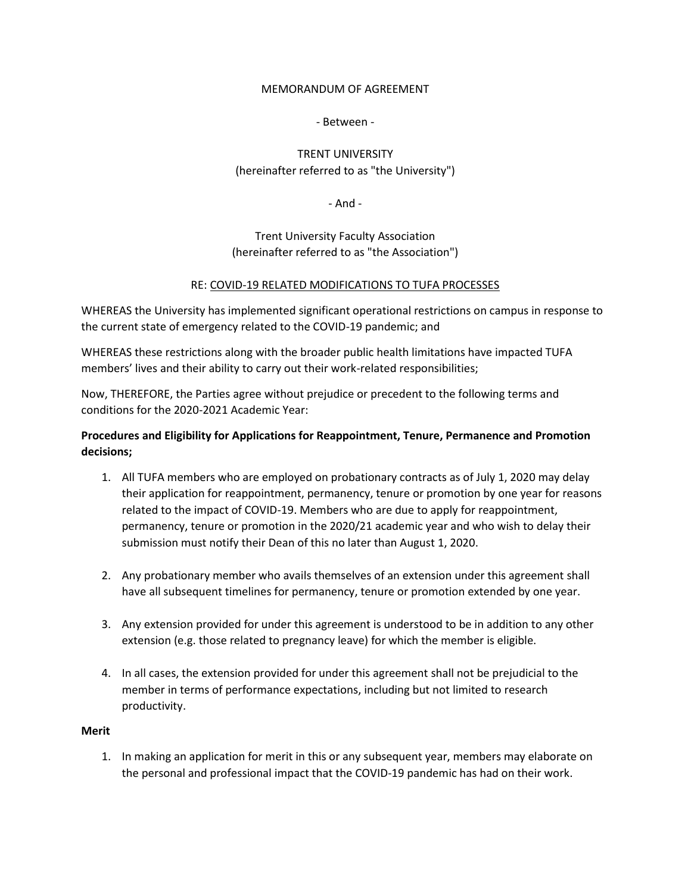### MEMORANDUM OF AGREEMENT

## - Between -

# TRENT UNIVERSITY (hereinafter referred to as "the University")

- And -

Trent University Faculty Association (hereinafter referred to as "the Association")

## RE: COVID-19 RELATED MODIFICATIONS TO TUFA PROCESSES

WHEREAS the University has implemented significant operational restrictions on campus in response to the current state of emergency related to the COVID-19 pandemic; and

WHEREAS these restrictions along with the broader public health limitations have impacted TUFA members' lives and their ability to carry out their work-related responsibilities;

Now, THEREFORE, the Parties agree without prejudice or precedent to the following terms and conditions for the 2020-2021 Academic Year:

## **Procedures and Eligibility for Applications for Reappointment, Tenure, Permanence and Promotion decisions;**

- 1. All TUFA members who are employed on probationary contracts as of July 1, 2020 may delay their application for reappointment, permanency, tenure or promotion by one year for reasons related to the impact of COVID-19. Members who are due to apply for reappointment, permanency, tenure or promotion in the 2020/21 academic year and who wish to delay their submission must notify their Dean of this no later than August 1, 2020.
- 2. Any probationary member who avails themselves of an extension under this agreement shall have all subsequent timelines for permanency, tenure or promotion extended by one year.
- 3. Any extension provided for under this agreement is understood to be in addition to any other extension (e.g. those related to pregnancy leave) for which the member is eligible.
- 4. In all cases, the extension provided for under this agreement shall not be prejudicial to the member in terms of performance expectations, including but not limited to research productivity.

## **Merit**

1. In making an application for merit in this or any subsequent year, members may elaborate on the personal and professional impact that the COVID-19 pandemic has had on their work.